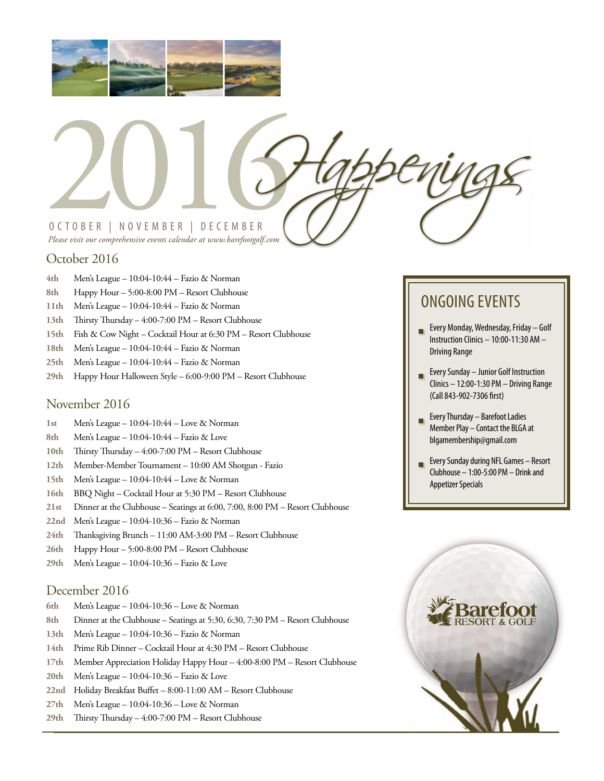



### October 2016

- **4th** Men's League 10:04-10:44 Fazio & Norman
- **8th** Happy Hour 5:00-8:00 PM Resort Clubhouse
- **11th** Men's League 10:04-10:44 Fazio & Norman
- **13th** Thirsty Thursday 4:00-7:00 PM Resort Clubhouse
- **15th** Fish & Cow Night Cocktail Hour at 6:30 PM Resort Clubhouse
- **18th** Men's League 10:04-10:44 Fazio & Norman
- **25th** Men's League 10:04-10:44 Fazio & Norman
- **29th** Happy Hour Halloween Style 6:00-9:00 PM Resort Clubhouse

#### November 2016

- **1st** Men's League 10:04-10:44 Love & Norman
- **8th** Men's League 10:04-10:44 Fazio & Love
- **10th** Thirsty Thursday 4:00-7:00 PM Resort Clubhouse
- **12th** Member-Member Tournament 10:00 AM Shotgun Fazio
- **15th** Men's League 10:04-10:44 Love & Norman
- **16th** BBQ Night Cocktail Hour at 5:30 PM Resort Clubhouse
- **21st** Dinner at the Clubhouse Seatings at 6:00, 7:00, 8:00 PM Resort Clubhouse
- **22nd** Men's League 10:04-10:36 Fazio & Norman
- **24th** Thanksgiving Brunch 11:00 AM-3:00 PM Resort Clubhouse
- **26th** Happy Hour 5:00-8:00 PM Resort Clubhouse
- **29th** Men's League 10:04-10:36 Fazio & Love

#### December 2016

- **6th** Men's League 10:04-10:36 Love & Norman
- **8th** Dinner at the Clubhouse Seatings at 5:30, 6:30, 7:30 PM Resort Clubhouse
- **13th** Men's League 10:04-10:36 Fazio & Norman
- **14th** Prime Rib Dinner Cocktail Hour at 4:30 PM Resort Clubhouse
- **17th** Member Appreciation Holiday Happy Hour 4:00-8:00 PM Resort Clubhouse
- **20th** Men's League 10:04-10:36 Fazio & Love
- **22nd** Holiday Breakfast Buffet 8:00-11:00 AM Resort Clubhouse
- **27th** Men's League 10:04-10:36 Love & Norman
- **29th** Thirsty Thursday 4:00-7:00 PM Resort Clubhouse

## ONGOING EVENTS

- Every Monday, Wednesday, Friday Golf Instruction Clinics – 10:00-11:30 AM – Driving Range
- Every Sunday Junior Golf Instruction Clinics – 12:00-1:30 PM – Driving Range (Call 843-902-7306 first)
- Every Thursday Barefoot Ladies Member Play – Contact the BLGA at blgamembership@gmail.com
- Every Sunday during NFL Games Resort Clubhouse – 1:00-5:00 PM – Drink and Appetizer Specials